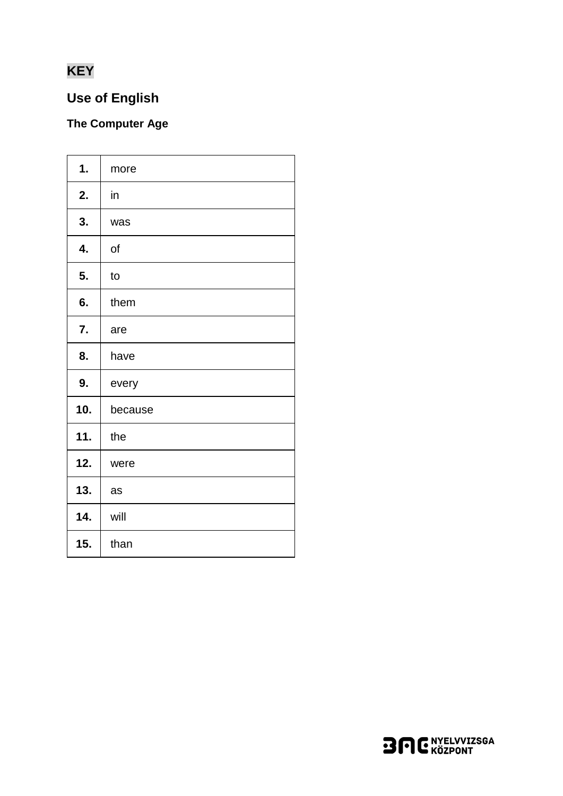# **KEY**

## **Use of English**

## The Computer Age

| 1.  | more    |
|-----|---------|
| 2.  | in      |
| 3.  | was     |
| 4.  | of      |
| 5.  | to      |
| 6.  | them    |
| 7.  | are     |
| 8.  | have    |
| 9.  | every   |
| 10. | because |
| 11. | the     |
| 12. | were    |
| 13. | as      |
| 14. | will    |
| 15. | than    |
|     |         |

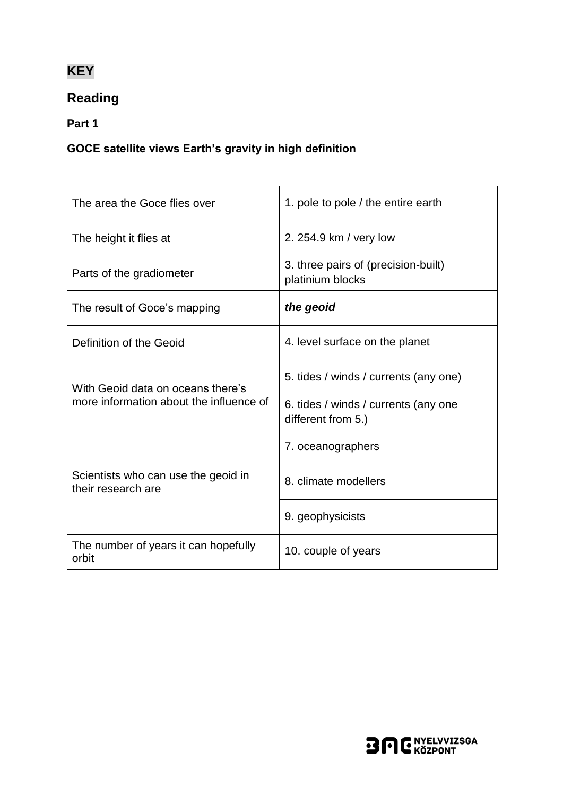# **KEY**

## **Reading**

**Part 1**

#### **GOCE satellite views Earth's gravity in high definition**

| The area the Goce flies over                              | 1. pole to pole / the entire earth                         |
|-----------------------------------------------------------|------------------------------------------------------------|
| The height it flies at                                    | 2. 254.9 km / very low                                     |
| Parts of the gradiometer                                  | 3. three pairs of (precision-built)<br>platinium blocks    |
| The result of Goce's mapping                              | the geoid                                                  |
| Definition of the Geoid                                   | 4. level surface on the planet                             |
| With Geoid data on oceans there's                         | 5. tides / winds / currents (any one)                      |
| more information about the influence of                   | 6. tides / winds / currents (any one<br>different from 5.) |
|                                                           | 7. oceanographers                                          |
| Scientists who can use the geoid in<br>their research are | 8. climate modellers                                       |
|                                                           | 9. geophysicists                                           |
| The number of years it can hopefully<br>orbit             | 10. couple of years                                        |